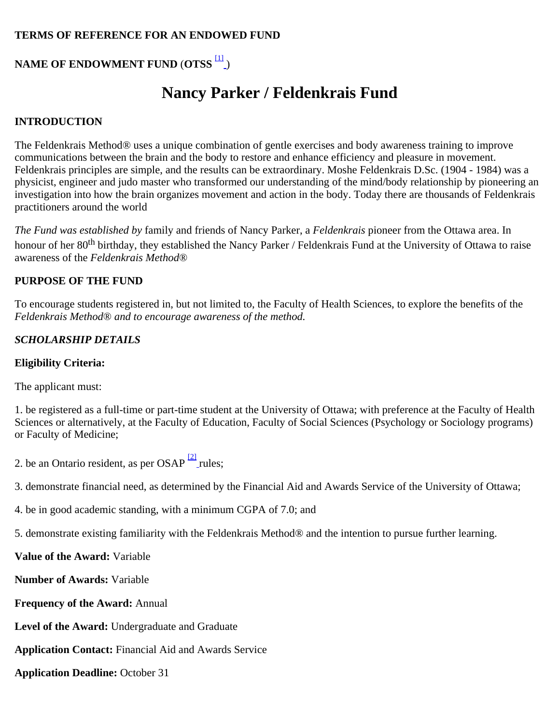## **TERMS OF REFERENCE FOR AN ENDOWED FUND**

# **NAME OF ENDOWMENT FUND** (**OTSS** [\[1\]](file:///P:/SAFB/Bureau%20des%20Bourses/004%20-%20Bourses/71844%20-%20Nancy%20Parker-Feldenkrais/Terme%20de%20référence/Dec.2013%20-%2003114%20-%20Parker%20Feldenkrais%20ToR%20EN%20-%20sAFB%20revised.doc#_ftn1) )

# **Nancy Parker / Feldenkrais Fund**

#### **INTRODUCTION**

The Feldenkrais Method® uses a unique combination of gentle exercises and body awareness training to improve communications between the brain and the body to restore and enhance efficiency and pleasure in movement. Feldenkrais principles are simple, and the results can be extraordinary. Moshe Feldenkrais D.Sc. (1904 - 1984) was a physicist, engineer and judo master who transformed our understanding of the mind/body relationship by pioneering an investigation into how the brain organizes movement and action in the body. Today there are thousands of Feldenkrais practitioners around the world

*The Fund was established by* family and friends of Nancy Parker, a *Feldenkrais* pioneer from the Ottawa area. In honour of her 80<sup>th</sup> birthday, they established the Nancy Parker / Feldenkrais Fund at the University of Ottawa to raise awareness of the *Feldenkrais Method*®

#### **PURPOSE OF THE FUND**

To encourage students registered in, but not limited to, the Faculty of Health Sciences, to explore the benefits of the *Feldenkrais Method*® *and to encourage awareness of the method.*

## *SCHOLARSHIP DETAILS*

#### **Eligibility Criteria:**

The applicant must:

1. be registered as a full-time or part-time student at the University of Ottawa; with preference at the Faculty of Health Sciences or alternatively, at the Faculty of Education, Faculty of Social Sciences (Psychology or Sociology programs) or Faculty of Medicine;

2. be an Onta[r](file:///P:/SAFB/Bureau%20des%20Bourses/004%20-%20Bourses/71844%20-%20Nancy%20Parker-Feldenkrais/Terme%20de%20référence/Dec.2013%20-%2003114%20-%20Parker%20Feldenkrais%20ToR%20EN%20-%20sAFB%20revised.doc#_ftn2)io resident, as per OSAP  $\frac{[2]}{]}$  rules;

3. demonstrate financial need, as determined by the Financial Aid and Awards Service of the University of Ottawa;

4. be in good academic standing, with a minimum CGPA of 7.0; and

5. demonstrate existing familiarity with the Feldenkrais Method® and the intention to pursue further learning.

**Value of the Award:** Variable

**Number of Awards:** Variable

**Frequency of the Award:** Annual

**Level of the Award:** Undergraduate and Graduate

**Application Contact:** Financial Aid and Awards Service

**Application Deadline:** October 31